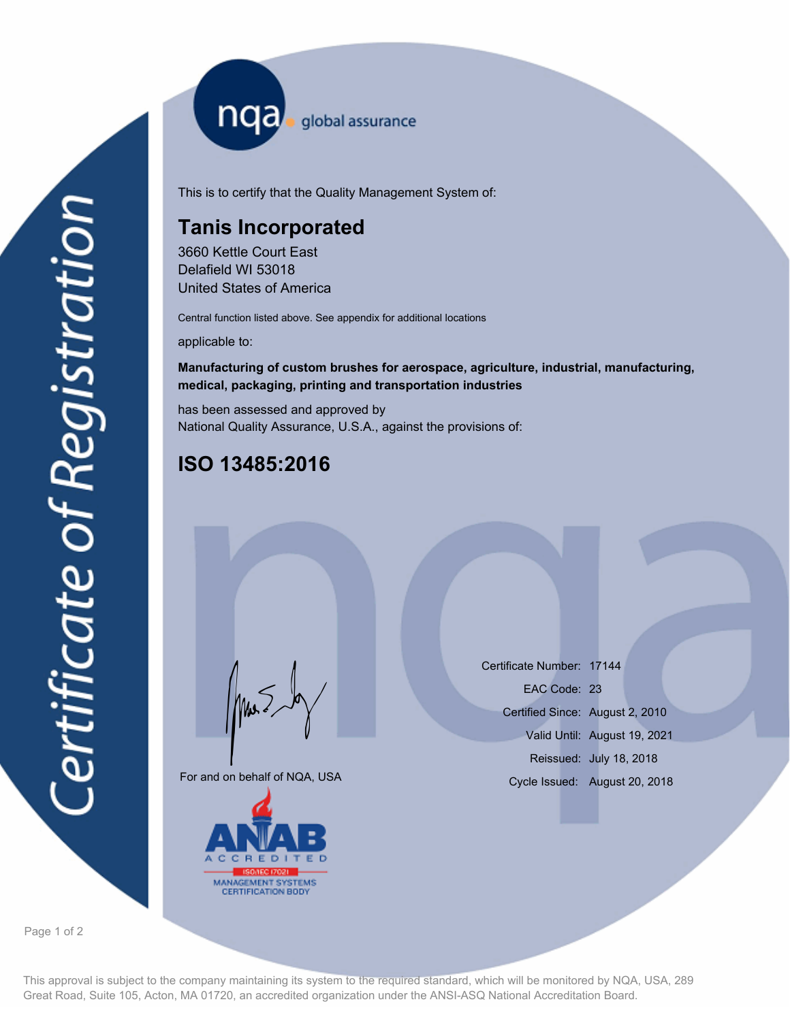nqa <sub>global assurance</sub>

This is to certify that the Quality Management System of:

## **Tanis Incorporated**

3660 Kettle Court East Delafield WI 53018 United States of America

Central function listed above. See appendix for additional locations

applicable to:

### **Manufacturing of custom brushes for aerospace, agriculture, industrial, manufacturing, medical, packaging, printing and transportation industries**

has been assessed and approved by National Quality Assurance, U.S.A., against the provisions of:

# **ISO 13485:2016**

For and on behalf of NQA, USA

Mus



Certificate Number: 17144 Certified Since: August 2, 2010 Valid Until: August 19, 2021 Reissued: July 18, 2018 EAC Code: 23 Cycle Issued: August 20, 2018

Page 1 of 2

This approval is subject to the company maintaining its system to the required standard, which will be monitored by NQA, USA, 289 Great Road, Suite 105, Acton, MA 01720, an accredited organization under the ANSI-ASQ National Accreditation Board.